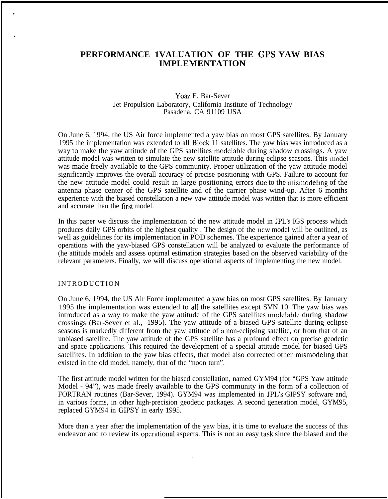# **PERFORMANCE 1VALUATION OF THE GI'S YAW BIAS IMPLEMENTATION**

### Yoaz E. Bar-Sever Jet Propulsion Laboratory, California Institute of Technology Pasadena, CA 91109 USA

On June 6, 1994, the US Air force implemented a yaw bias on most GPS satellites. By January 1995 the implementation was extended to all Block 11 satellites. The yaw bias was introduced as a way to make the yaw attitude of the GPS satellites modelable during shadow crossings. A yaw attitude model was written to simulate the new satellite attitude during eclipse seasons. This model was made freely available to the GPS community. Proper utilization of the yaw attitude model significantly improves the overall accuracy of precise positioning with GPS. Failure to account for the new attitude model could result in large positioning errors due to the misrnodeling of the antenna phase center of the GPS satellite and of the carrier phase wind-up. After 6 months experience with the biased constellation a new yaw attitude model was written that is more efficient and accurate than the first model.

In this paper we discuss the implementation of the new attitude model in JPL's IGS process which produces daily GPS orbits of the highest quality . The design of the new model will be outlined, as well as guidelines for its implementation in POD schemes. The experience gained after a year of operations with the yaw-biased GPS constellation will be analyzed to evaluate the performance of (he attitude models and assess optimal estimation strategies based on the observed variability of the relevant parameters. Finally, we will discuss operational aspects of implementing the new model.

## INTRODUCTION

●

On June 6, 1994, the US Air Force implemented a yaw bias on most GPS satellites. By January 1995 the implementation was extended to all the satellites except SVN 10. The yaw bias was introduced as a way to make the yaw attitude of the GPS satellites modelable during shadow crossings (Bar-Sever et al., 1995). The yaw attitude of a biased GPS satellite during eclipse seasons is markedly different from the yaw attitude of a non-eclipsing satellite, or from that of an unbiased satellite. The yaw attitude of the GPS satellite has a profound effect on precise geodetic and space applications. This required the development of a special attitude model for biased GPS satellites. In addition to the yaw bias effects, that model also corrected other misrnodeling that existed in the old model, namely, that of the "noon turn".

The first attitude model written for the biased constellation, named GYM94 (for "GPS Yaw attitude Model - 94"), was made freely available to the GPS community in the form of a collection of FORTRAN routines (Bar-Sever, 1994). GYM94 was implemented in JPL's GIPSY software and, in various forms, in other high-precision geodetic packages. A second generation model, GYM95, replaced GYM94 in GIPSY in early 1995.

More than a year after the implementation of the yaw bias, it is time to evaluate the success of this endeavor and to review its operational aspects. This is not an easy task since the biased and the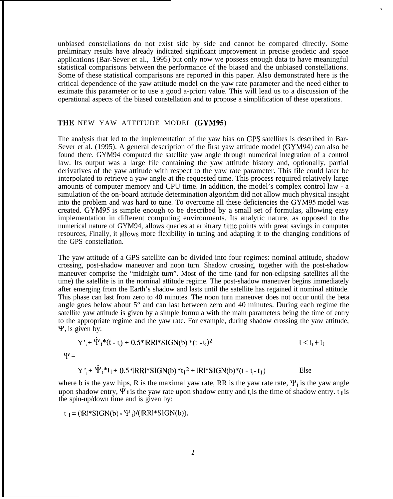unbiased constellations do not exist side by side and cannot be compared directly. Some preliminary results have already indicated significant improvement in precise geodetic and space applications (Bar-Sever et al., 1995) but only now we possess enough data to have meaningful statistical comparisons between the performance of the biased and the unbiased constellations. Some of these statistical comparisons are reported in this paper. Also demonstrated here is the critical dependence of the yaw attitude model on the yaw rate parameter and the need either to estimate this parameter or to use a good a-priori value. This will lead us to a discussion of the operational aspects of the biased constellation and to propose a simplification of these operations.

#### THE NEW YAW ATTITUDE MODEL (GYM95)

The analysis that led to the implementation of the yaw bias on GPS satellites is described in Bar-Sever et al. (1995). A general description of the first yaw attitude model (GYM94) can also be found there. GYM94 computed the satellite yaw angle through numerical integration of a control law. Its output was a large file containing the yaw attitude history and, optionally, partial derivatives of the yaw attitude with respect to the yaw rate parameter. This file could later be interpolated to retrieve a yaw angle at the requested time. This process required relatively large amounts of computer memory and CPU time. In addition, the model's complex control law - a simulation of the on-board attitude determination algorithm did not allow much physical insight into the problem and was hard to tune. To overcome all these deficiencies the GYM95 model was created. GYM95 is simple enough to be described by a small set of formulas, allowing easy implementation in different computing environments. Its analytic nature, as opposed to the numerical nature of GYM94, allows queries at arbitrary time points with great savings in computer resources, Finally, it allows more flexibility in tuning and adapting it to the changing conditions of the GPS constellation.

The yaw attitude of a GPS satellite can be divided into four regimes: nominal attitude, shadow crossing, post-shadow maneuver and noon turn. Shadow crossing, together with the post-shadow maneuver comprise the "midnight turn". Most of the time (and for non-eclipsing satellites all the time) the satellite is in the nominal attitude regime. The post-shadow maneuver begins immediately after emerging from the Earth's shadow and lasts until the satellite has regained it nominal attitude. This phase can last from zero to 40 minutes. The noon turn maneuver does not occur until the beta angle goes below about 5° and can last between zero and 40 minutes. During each regime the satellite yaw attitude is given by a simple formula with the main parameters being the time of entry to the appropriate regime and the yaw rate. For example, during shadow crossing the yaw attitude,  $\Psi$ , is given by:

$$
Y'_{i} + \dot{\Psi}_{i} * (t - t_{i}) + 0.5 * IRR * SIGN(b) * (t - t_{i})^{2}
$$
  

$$
\Psi = \qquad \qquad t < t_{i} + t_{1}
$$

$$
Y'_{i} + \Psi_{i} * t_{1} + 0.5 * IRR * SIGN(b) * t_{1}^{2} + IRI * SIGN(b) * (t - t_{i} - t_{1})
$$
 Else

where b is the yaw hips, R is the maximal yaw rate, RR is the yaw rate rate,  $\Psi_i$  is the yaw angle upon shadow entry,  $\Psi$  i is the yaw rate upon shadow entry and t is the time of shadow entry. t is the spin-up/down time and is given by:

 $t_1 = (R^*SIGN(b) - \Psi_i)/(RR^*SIGN(b)).$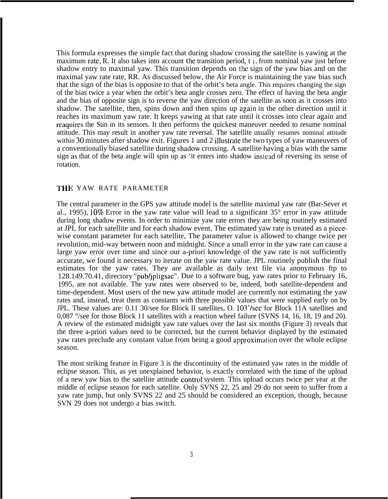This formula expresses the simple fact that during shadow crossing the satellite is yawing at the maximum rate, R. It also takes into account the transition period,  $t_1$ , from nominal yaw just before shadow entry to maximal yaw. This transition depends on the sign of the yaw bias and on the maximal yaw rate rate, RR. As discussed below, the Air Force is maintaining the yaw bias such that the sign of the bias is opposite to that of the orbit's beta angle. This requires changing the sign of the bias twice a year when the orbit's beta angle crosses zero. The effect of having the beta angle and the bias of opposite sign is to reverse the yaw direction of the satellite as soon as it crosses into shadow. The satellite, then, spins down and then spins up again in the other direction until it reaches its maximum yaw rate. It keeps yawing at that rate until it crosses into clear again and reaquires the Sun in its sensors. It then performs the quickest maneuver needed to resume nominal attitude. This may result in another yaw rate reversal. The satellite usually resumes nominal attitude within 30 minutes after shadow exit. Figures 1 and 2 illustrate the two types of yaw maneuvers of a conventionally biased satellite during shadow crossing. A satellite having a bias with the same sign as that of the beta angle will spin up as 'it enters into shadow instead of reversing its sense of rotation.

#### THE YAW RATE PARAMETER

The central parameter in the GPS yaw attitude model is the satellite maximal yaw rate (Bar-Sever et al., 1995),  $10\%$  Error in the yaw rate value will lead to a significant  $35^{\circ}$  error in yaw attitude during long shadow events. In order to minimize yaw rate errors they are being routinely estimated at JPL for each satellite and for each shadow event. The estimated yaw rate is treated as a piecewise constant parameter for each satellite, The parameter value is allowed to change twice per revolution, mid-way between noon and midnight. Since a small error in the yaw rate can cause a large yaw error over time and since our a-priori knowledge of the yaw rate is not sufficiently accurate, we found it necessary to iterate on the yaw rate value. JPL routinely publish the final estimates for the yaw rates. They are available as daily text file via anonymous ftp to 128.149.70.41, directory "pub/jpligsac". Due to a software bug, yaw rates prior to February 16, 1995, are not available. The yaw rates were observed to be, indeed, both satellite-dependent and time-dependent. Most users of the new yaw attitude model are currently not estimating the yaw rates and, instead, treat them as constants with three possible values that were supplied early on by JPL. These values are: 0.11 30/see for Block II satellites, O. 103°/sec for Block 11A satellites and 0,087 °/see for those Block 11 satellites with a reaction wheel failure (SVNS 14, 16, 18, 19 and 20). A review of the estimated midnight yaw rate values over the last six months (Figure 3) reveals that the three a-priori values need to be corrected, but the current behavior displayed by the estimated yaw rates preclude any constant value from being a good approximation over the whole eclipse season.

The most striking feature in Figure 3 is the discontinuity of the estimated yaw rates in the middle of eclipse season. This, as yet unexplained behavior, is exactly correlated with the time of the upload of a new yaw bias to the satellite attitude control system. This upload occurs twice per year at the middle of eclipse season for each satellite. Only SVNS 22, 25 and 29 do not seem to suffer from a yaw rate jump, but only SVNS 22 and 25 should be considered an exception, though, because SVN 29 does not undergo a bias switch.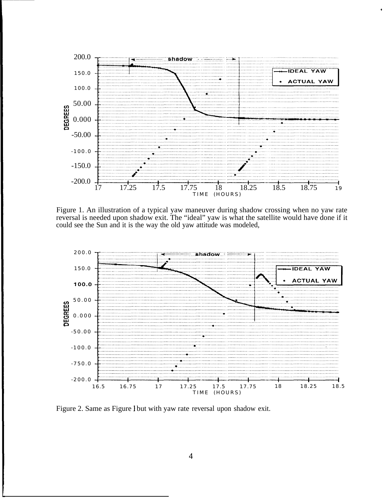

\*

Figure 1. An illustration of a typical yaw maneuver during shadow crossing when no yaw rate reversal is needed upon shadow exit. The "ideal" yaw is what the satellite would have done if it could see the Sun and it is the way the old yaw attitude was modeled,



Figure 2. Same as Figure 1 but with yaw rate reversal upon shadow exit.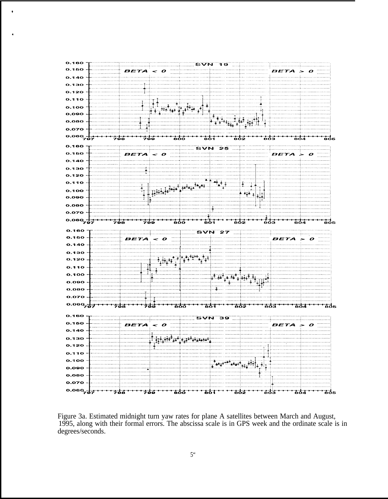

,

,

Figure 3a. Estimated midnight turn yaw rates for plane A satellites between March and August, 1995, along with their formal errors. The abscissa scale is in GPS week and the ordinate scale is in degrees/seconds.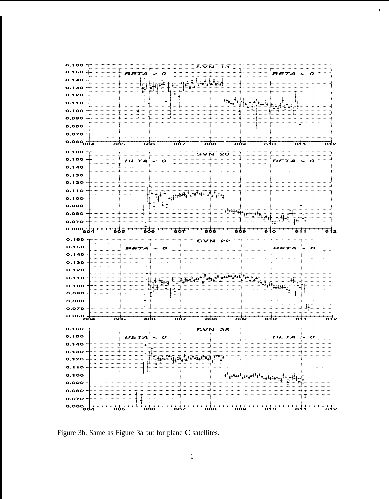

#

Figure 3b. Same as Figure 3a but for plane C satellites.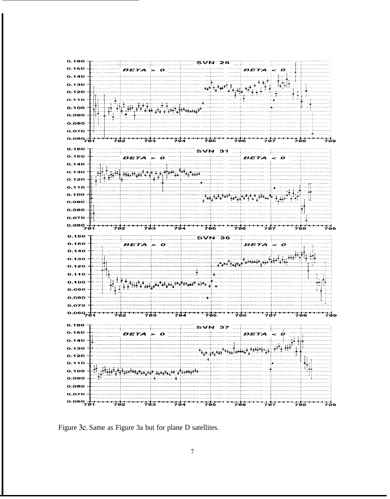

Figure 3c. Same as Figure 3a but for plane D satellites.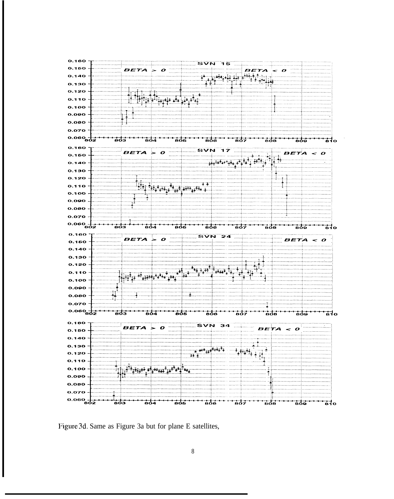

Figure 3d. Same as Figure 3a but for plane E satellites,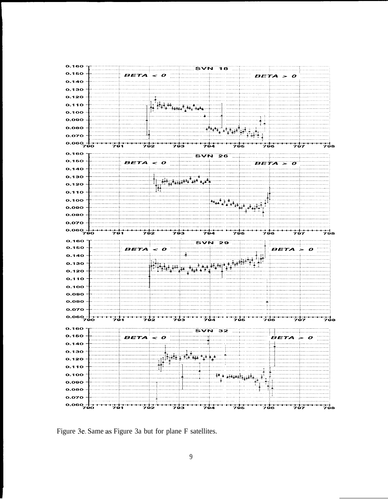

Figure 3e. Same as Figure 3a but for plane F satellites.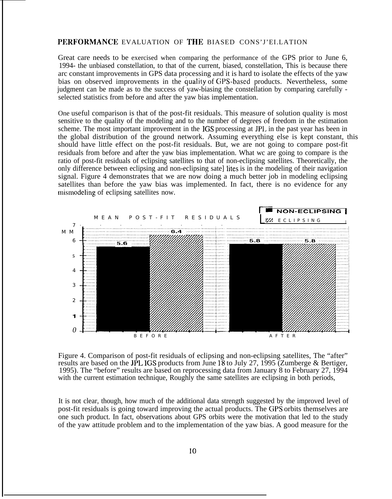# PERFORMANCE EVALUATION OF THE BIASED CONS'J'EI.LATION

Great care needs to be exercised when comparing the performance of the GPS prior to June 6, 1994- the unbiased constellation, to that of the current, biased, constellation, This is because there arc constant improvements in GPS data processing and it is hard to isolate the effects of the yaw bias on observed improvements in the quality of GPS-based products. Nevertheless, some judgment can be made as to the success of yaw-biasing the constellation by comparing carefully selected statistics from before and after the yaw bias implementation.

One useful comparison is that of the post-fit residuals. This measure of solution quality is most sensitive to the quality of the modeling and to the number of degrees of freedom in the estimation scheme. The most important improvement in the IGS processing at JPL in the past year has been in the global distribution of the ground network. Assuming everything else is kept constant, this should have little effect on the post-fit residuals. But, we are not going to compare post-fit residuals from before and after the yaw bias implementation. What wc are going to compare is the ratio of post-fit residuals of eclipsing satellites to that of non-eclipsing satellites. Theoretically, the only difference between eclipsing and non-eclipsing sate] Iites is in the modeling of their navigation signal. Figure 4 demonstrates that we are now doing a much better job in modeling eclipsing satellites than before the yaw bias was implemented. In fact, there is no evidence for any mismodeling of eclipsing satellites now.



Figure 4. Comparison of post-fit residuals of eclipsing and non-eclipsing satellites, The "after" results are based on the JPL IGS products from June 18 to July 27, 1995 (Zumberge & Bertiger, 1995). The "before" results are based on reprocessing data from January 8 to February 27, 1994 with the current estimation technique, Roughly the same satellites are eclipsing in both periods,

It is not clear, though, how much of the additional data strength suggested by the improved level of post-fit residuals is going toward improving the actual products. The GPS orbits themselves are one such product. In fact, observations about GPS orbits were the motivation that led to the study of the yaw attitude problem and to the implementation of the yaw bias. A good measure for the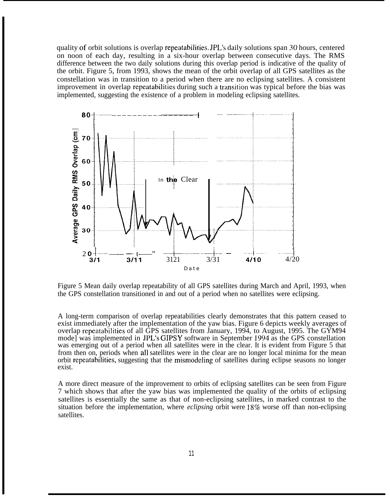quality of orbit solutions is overlap repeatabilities. JPL's daily solutions span 30 hours, centered on noon of each day, resulting in a six-hour overlap between consecutive days. The RMS difference between the two daily solutions during this overlap period is indicative of the quality of the orbit. Figure 5, from 1993, shows the mean of the orbit overlap of all GPS satellites as the constellation was in transition to a period when there are no eclipsing satellites. A consistent improvement in overlap repeatabilities during such a transition was typical before the bias was implemented, suggesting the existence of a problem in modeling eclipsing satellites.



Figure 5 Mean daily overlap repeatability of all GPS satellites during March and April, 1993, when the GPS constellation transitioned in and out of a period when no satellites were eclipsing.

A long-term comparison of overlap repeatabilities clearly demonstrates that this pattern ceased to exist immediately after the implementation of the yaw bias. Figure 6 depicts weekly averages of overlap repeatabilities of all GPS satellites from January, 1994, to August, 1995. The GYM94 mode] was implemented in JPL's GIPSY software in September 1994 as the GPS constellation was emerging out of a period when all satellites were in the clear. It is evident from Figure 5 that from then on, periods when all satellites were in the clear are no longer local minima for the mean orbit repeatabilities, suggesting that the mismodeling of satellites during eclipse seasons no longer exist.

A more direct measure of the improvement to orbits of eclipsing satellites can be seen from Figure 7 which shows that after the yaw bias was implemented the quality of the orbits of eclipsing satellites is essentially the same as that of non-eclipsing satellites, in marked contrast to the situation before the implementation, where *eclipsing* orbit were 18% worse off than non-eclipsing satellites.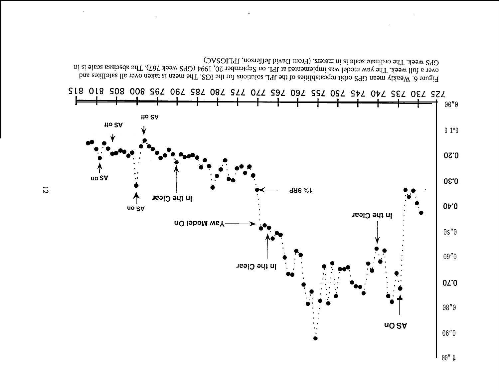

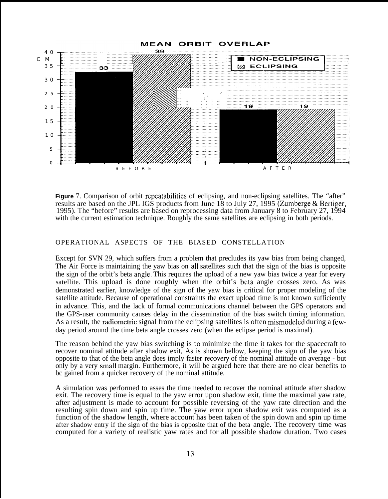

**Figure** 7. Comparison of orbit repeatabilities of eclipsing, and non-eclipsing satellites. The "after" results are based on the JPL IGS products from June 18 to July 27, 1995 (Zumberge & Bertiger, 1995). The "before" results are based on reprocessing data from January 8 to February 27, 1994 with the current estimation technique. Roughly the same satellites are eclipsing in both periods.

## OPERATIONAL ASPECTS OF THE BIASED CONSTELLATION

Except for SVN 29, which suffers from a problem that precludes its yaw bias from being changed, The Air Force is maintaining the yaw bias on all satellites such that the sign of the bias is opposite the sign of the orbit's beta angle. This requires the upload of a new yaw bias twice a year for every satellite. This upload is done roughly when the orbit's beta angle crosses zero. As was demonstrated earlier, knowledge of the sign of the yaw bias is critical for proper modeling of the satellite attitude. Because of operational constraints the exact upload time is not known sufficiently in advance. This, and the lack of formal communications channel between the GPS operators and the GPS-user community causes delay in the dissemination of the bias switch timing information. As a result, the radiometric signal from the eclipsing satellites is often mismodeled during a fewday period around the time beta angle crosses zero (when the eclipse period is maximal).

The reason behind the yaw bias switching is to minimize the time it takes for the spacecraft to recover nominal attitude after shadow exit, As is shown bellow, keeping the sign of the yaw bias opposite to that of the beta angle does imply faster recovery of the nominal attitude on average - but only by a very small margin. Furthermore, it will be argued here that there are no clear benefits to bc gained from a quicker recovery of the nominal attitude.

A simulation was performed to asses the time needed to recover the nominal attitude after shadow exit. The recovery time is equal to the yaw error upon shadow exit, time the maximal yaw rate, after adjustment is made to account for possible reversing of the yaw rate direction and the resulting spin down and spin up time. The yaw error upon shadow exit was computed as a function of the shadow length, where account has been taken of the spin down and spin up time after shadow entry if the sign of the bias is opposite that of the beta angle. The recovery time was computed for a variety of realistic yaw rates and for all possible shadow duration. Two cases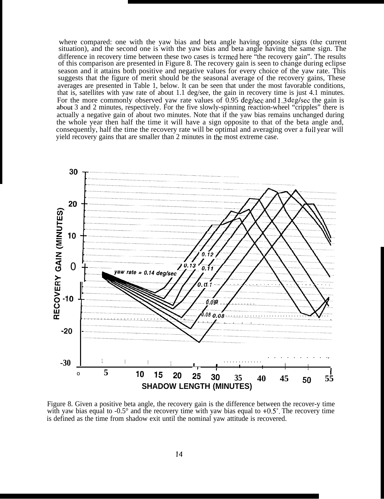where compared: one with the yaw bias and beta angle having opposite signs (the current situation), and the second one is with the yaw bias and beta angle having the same sign. The difference in recovery time between these two cases is termed here "the recovery gain". The results of this comparison are presented in Figure 8. The recovery gain is seen to change during eclipse season and it attains both positive and negative values for every choice of the yaw rate. This suggests that the figure of merit should be the seasonal average of the recovery gains. These averages are presented in Table 1, below. It can be seen that under the most favorable conditions, that is, satellites with yaw rate of about 1.1 deg/see, the gain in recovery time is just 4.1 minutes. For the more commonly observed yaw rate values of 0.95 deg/sec and 1.3 deg/sec the gain is about 3 and 2 minutes, respectively. For the five slowly-spinning reaction-wheel "cripples" there is actually a negative gain of about two minutes. Note that if the yaw bias remains unchanged during the whole year then half the time it will have a sign opposite to that of the beta angle and, consequently, half the time the recovery rate will be optimal and averaging over a full year will yield recovery gains that are smaller than 2 minutes in the most extreme case.



Figure 8. Given a positive beta angle, the recovery gain is the difference between the recover-y time with yaw bias equal to -0.5 $^{\circ}$  and the recovery time with yaw bias equal to +0.5 $^{\circ}$ . The recovery time is defined as the time from shadow exit until the nominal yaw attitude is recovered.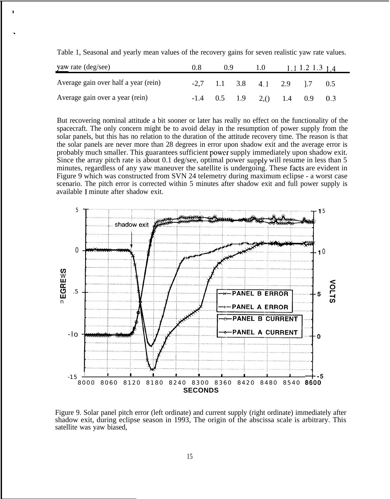| yaw rate (deg/see)                   | 0.8 | (0.9) |  | 1.0                             | 1.1 1.2 1.3 $1.4$ |  |     |
|--------------------------------------|-----|-------|--|---------------------------------|-------------------|--|-----|
| Average gain over half a year (rein) |     |       |  | $-2,7$ 1.1 3.8 4.1 2.9 1.7      |                   |  | 0.5 |
| Average gain over a year (rein)      |     |       |  | $-1.4$ 0.5 1.9 2.() 1.4 0.9 0.3 |                   |  |     |

Table 1, Seasonal and yearly mean values of the recovery gains for seven realistic yaw rate values.

,

But recovering nominal attitude a bit sooner or later has really no effect on the functionality of the spacecraft. The only concern might be to avoid delay in the resumption of power supply from the solar panels, but this has no relation to the duration of the attitude recovery time. The reason is that the solar panels are never more than 28 degrees in error upon shadow exit and the average error is probably much smaller. This guarantees sufficient power supply immediately upon shadow exit. Since the array pitch rate is about 0.1 deg/see, optimal power supply will resume in less than  $5$ minutes, regardless of any yaw maneuver the satellite is undergoing. These facts are evident in Figure 9 which was constructed from SVN 24 telemetry during maximum eclipse - a worst case scenario. The pitch error is corrected within 5 minutes after shadow exit and full power supply is available 1 minute after shadow exit.



Figure 9. Solar panel pitch error (left ordinate) and current supply (right ordinate) immediately after shadow exit, during eclipse season in 1993, The origin of the abscissa scale is arbitrary. This satellite was yaw biased,